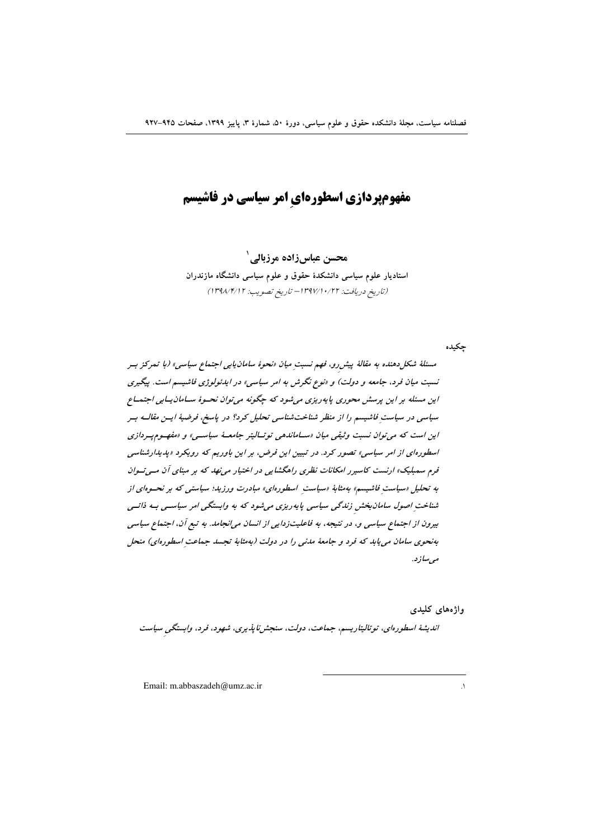# **مفهومپردازی اسطورهای امر سیاسی در فاشیسم**

محسن عباس زاده مرزبالي' استادیار علوم سیاسی دانشکدهٔ حقوق و علوم سیاسی دانشگاه مازندران (تاريخ دريافت: ١٣٩٧/١٠/٢٢ - تاريخ تصويب: ١٣٩٨/١٤/١)

جكيده

مسئلهٔ شکل دهنده به مقالهٔ پیش رو، فهم نسبتِ میان «نحوهٔ سامان یابی اجتماع سیاسی» (با تمرکز بسر نسبت میان فرد، جامعه و دولت) و «نوع نگرش به امر سیاسی» در ایدئولوژی فاشیسم است. پیگیری این مسئله بر این پرسش محوری پایه ریزی می شود که چگونه می توان نحسوهٔ سیامان پیابی اجتمیاع سیاسی در سیاست فاشیسم را از منظر شناختشناسی تحلیل کرد؟ در پاسخ، فرضیهٔ ایس مقالـه بـر این است که می توان نسبت و ثیقی میان «ساماندهی توتالیتر جامعهٔ سیاستی» و «مفهوم پیردازی اسطورهای از امر سیاسی» تصور کرد. در تبیین این فرض، بر این باوریم که رویکرد «بدیدارشناسی فرم سمبلیک» ارنست کاسپرر امکانات نظری راهگشایی در اختیار می نهد که بر مبنای آن مسی توان به تحلیل «سیاست فاشیسم» به مثابهٔ «سیاست اسطورهای» مبادرت ورزید؛ سیاستی که بر نحسوهای از شناخت اصول سامان بخش زندگی سیاسی پایه ریزی می شود که به وابستگی امر سیاسـی بـه ذاتـی بیرون از اجتماع سیاسی و، در نتیجه، به فاعلیتزدایی از انسان میانجامد. به تبع آن، اجتماع سیاسی بهنحوی سامان می یابد که فرد و جامعهٔ مدنی را در دولت (به مثابهٔ تجسد جماعت اسطورهای) منحل مې ساز د.

وإژەهای كليدى

اندیشهٔ اسطورهای، توتالیتاریسم، جماعت، دولت، سنجشناپذیری، شهود، فرد، وابستگی سیاست

Email: m.abbaszadeh@umz.ac.ir

 $\sqrt{ }$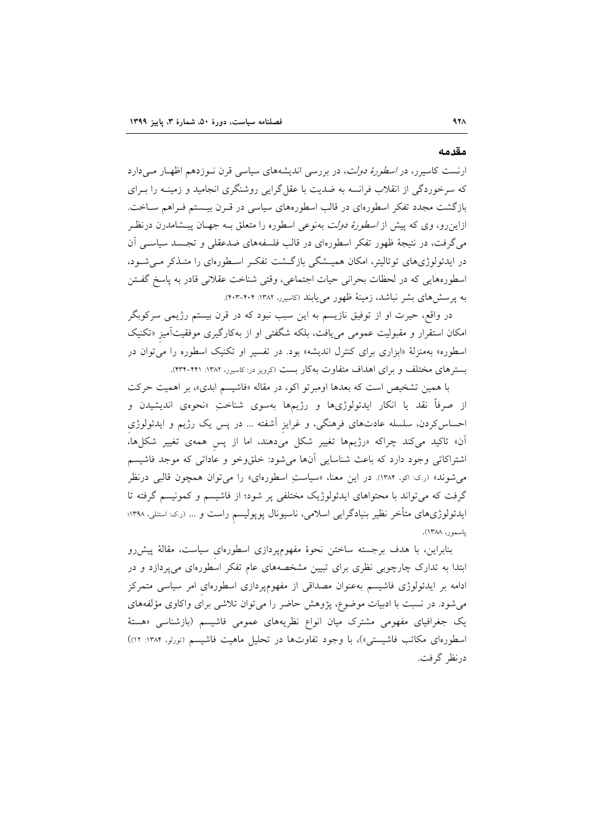#### مقدمه

ارنست کاسیرر، در *اسطورهٔ دولت*، در بررسی اندیشههای سیاسی قرن نـوزدهم اظهـار مـیدارد که سرخوردگی از انقلاب فرانسه به ضدیت با عقل گرایی روشنگری انجامید و زمینـه را بـرای بازگشت مجدد تفکر اسطورهای در قالب اسطورههای سیاسی در قـرن بیـستم فـراهم سـاخت. ازاینرو، وی که پیش از *اسطورهٔ دولت* بهنوعی اسطوره را متعلق بـه جهـان پیـشامدرن درنظـر می گرفت، در نتیجهٔ ظهور تفکر اسطورهای در قالب فلسفههای ضدعقلی و تجسد سیاسی آن در ایدئولوژیهای توتالیتر، امکان همیــشگی بازگــشت تفکـر اسـطورهای را متــذکر مــی شــود، اسطورههايي كه در لحظات بحراني حيات اجتماعي، وقتي شناخت عقلاني قادر به پاسخ گفتن به پرسشهای بشر نباشد، زمینهٔ ظهور مییابند (کاسیرر، ۱۳۸۲: ۴۰۴-۴۰۳).

در واقع، حیرت او از توفیق نازیسم به این سبب نبود که در قرن بیستم رژیمی سرکوبگر امکان استقرار و مقبولیت عمومی می یافت، بلکه شگفتی او از بهکارگیری موفقیتآمیز «تکنیک اسطوره» بهمنزلهٔ «ابزاری برای کنترل اندیشه» بود. در تفسیر او تکنیک اسطوره را می توان در بسترهای مختلف و برای اهداف متفاوت بهکار بست (کرویز در: کاسیرر، ۱۳۸۲: ۴۲۱-۴۳۴).

با همین تشخیص است که بعدها اومبرتو اکو، در مقاله «فاشیسم ابدی»، بر اهمیت حرکت از صرفاً نقد یا انکار ایدئولوژیها و رژیمها بهسوی شناختِ «نحوهی اندیشیدن و احساس کردن، سلسله عادتهای فرهنگی، و غرایز آشفته … در پس یک رژیم و ایدئولوژی آن» تاکید میکند چراکه «رژیمها تغییر شکل میدهند، اما از پس همهی تغییر شکلها، اشتراکاتی وجود دارد که باعث شناسایی آنها میشود: خلقوخو و عاداتی که موجد فاشیسم می شوند» (ر.ی: اکو، ۱۳۸۴). در این معنا، «سیاستِ اسطورهای» را می توان همچون قالبی درنظر گرفت که می تواند با محتواهای ایدئولوژیک مختلفی پر شود؛ از فاشیسم و کمونیسم گرفته تا ایدئولوژیهای متأخر نظیر بنیادگرایی اسلامی، ناسیونال پوپولیسم راست و … (ر.ک: استنلی، ۱۳۹۸؛ ياسمور، ١٣٨٨).

بنابراین، با هدف برجسته ساختن نحوهٔ مفهومپردازی اسطورهای سیاست، مقالهٔ پیش رو ابتدا به تدارک چارچوبی نظری برای تبیین مشخصههای عام تفکر اسطورهای میپردازد و در ادامه بر ایدئولوژی فاشیسم بهعنوان مصداقی از مفهومپردازی اسطورهای امر سیاسی متمرکز می شود. در نسبت با ادبیات موضوع، پژوهش حاضر را می توان تلاشی برای واکاوی مؤلفههای یک جغرافیای مفهومی مشترک میان انواع نظریههای عمومی فاشیسم (بازشناسی «هستهٔ اسطورهای مکاتب فاشیستی»)، با وجود تفاوتها در تحلیل ماهیت فاشیسم (تورلو، ۱۳۸۴: ۱۲) درنظ گرفت.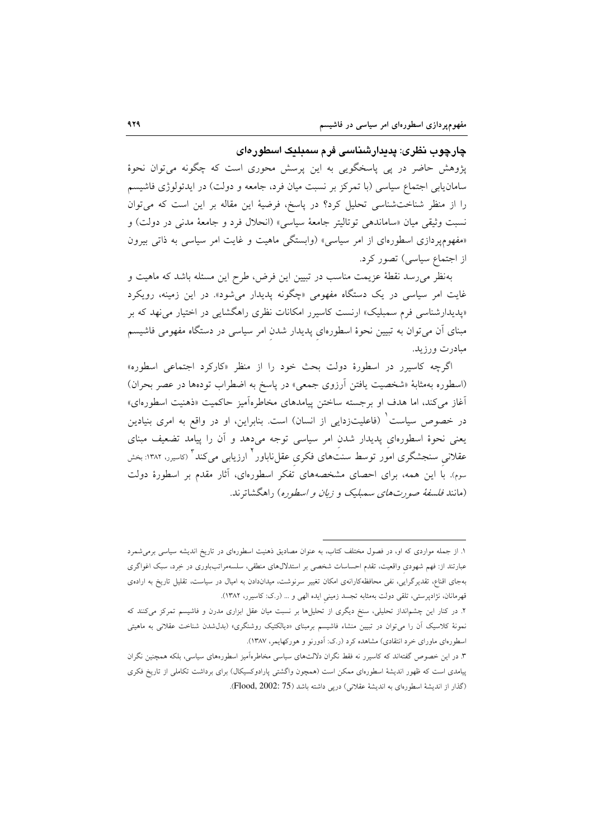## چارچوب نظری: پدیدارشناسی فرم سمبلیک اسطورهای

پژوهش حاضر در پی پاسخگویی به این پرسش محوری است که چگونه می توان نحوهٔ سامانیابی اجتماع سیاسی (با تمرکز بر نسبت میان فرد، جامعه و دولت) در ایدئولوژی فاشیسم را از منظر شناختشناسی تحلیل کرد؟ در پاسخ، فرضیهٔ این مقاله بر این است که می توان نسبت وثيقي ميان «ساماندهي توتاليتر جامعهٔ سياسي» (انحلال فرد و جامعهٔ مدني در دولت) و «مفهوم پردازی اسطورهای از امر سیاسی» (وابستگی ماهیت و غایت امر سیاسی به ذاتی بیرون از اجتماع سیاسی) تصور کرد.

بهنظر می رسد نقطهٔ عزیمت مناسب در تبیین این فرض، طرح این مسئله باشد که ماهیت و غایت امر سیاسی در یک دستگاه مفهومی «چگونه پدیدار میشود». در این زمینه، رویکرد «پدیدارشناسی فرم سمبلیک» ارنست کاسیرر امکانات نظری راهگشایی در اختیار می نهد که بر مبنای آن میتوان به تبیین نحوهٔ اسطورهای پدیدار شدن امر سیاسی در دستگاه مفهومی فاشیسم مبادرت ورزید.

اگرچه کاسیرر در اسطورهٔ دولت بحث خود را از منظر «کارکرد اجتماعی اسطوره» (اسطوره بهمثابهٔ «شخصیت یافتن آرزوی جمعی» در پاسخ به اضطراب تودهها در عصر بحران) آغاز میکند، اما هدف او برجسته ساختن پیامدهای مخاطرهآمیز حاکمیت «ذهنیت اسطورهای» در خصوص سیاست ٰ (فاعلیتزدایی از انسان) است. بنابراین، او در واقع به امری بنیادین یعنی نحوهٔ اسطورهای پدیدار شدن امر سیاسی توجه میدهد و آن را پیامد تضعیف مبنای عقلانی سنجشگری امور توسط سنتهای فکری عقلiباور<sup>۲</sup> ارزیابی میکند<sup>۳</sup> (کاسیرر، ۱۳۸۲: بخش سوم). با این همه، برای احصای مشخصههای تفکر اسطورهای، آثار مقدم بر اسطورهٔ دولت (مانند *فلسفهٔ صورتهای سمبلیک و زبان و اسطوره*) <sub>د</sub>اهگشاته ند.

١. از جمله مواردي كه او، در فصول مختلف كتاب، به عنوان مصاديق ذهنيت اسطورهاي در تاريخ انديشه سياسي برمي شمرد عبارتند از: فهم شهودی واقعیت، تقدم احساسات شخصی بر استدلالهای منطقی، سلسهمراتبباوری در خِرد، سبک اغواگری بهجای اقناع، تقدیرگرایی، نفی محافظهکارانهی امکان تغییر سرنوشت، میداندادن به امیال در سیاست، تقلیل تاریخ به ارادهی قهرمانان، نژادپرستی، تلقی دولت بهمثابه تجسد زمینی ایده الهی و … (ر.ک: کاسیرر، ۱۳۸۲).

۲. در کنار این چشم|نداز تحلیلی، سنخ دیگری از تحلیلها بر نسبت میان عقل ابزاری مدرن و فاشیسم تمرکز میکنند که نمونهٔ کلاسیک آن را میتوان در تبیین منشاء فاشیسم برمبنای «دیالکتیک روشنگری» (بدلشدن شناخت عقلانی به ماهیتی اسطورهای ماورای خرد انتقادی) مشاهده کرد (ر.ک: اَدورنو و هورکهایمر، ۱۳۸۷).

۳. در این خصوص گفتهاند که کاسیرر نه فقط نگران دلالتهای سیاسی مخاطرهآمیز اسطورههای سیاسی، بلکه همچنین نگران پیامدی است که ظهور اندیشهٔ اسطورهای ممکن است (همچون واگشتی پارادوکسیکال) برای برداشت تکاملی از تاریخ فکری (گذار از اندیشهٔ اسطورهای به اندیشهٔ عقلانی) درپی داشته باشد (Flood, 2002: 75).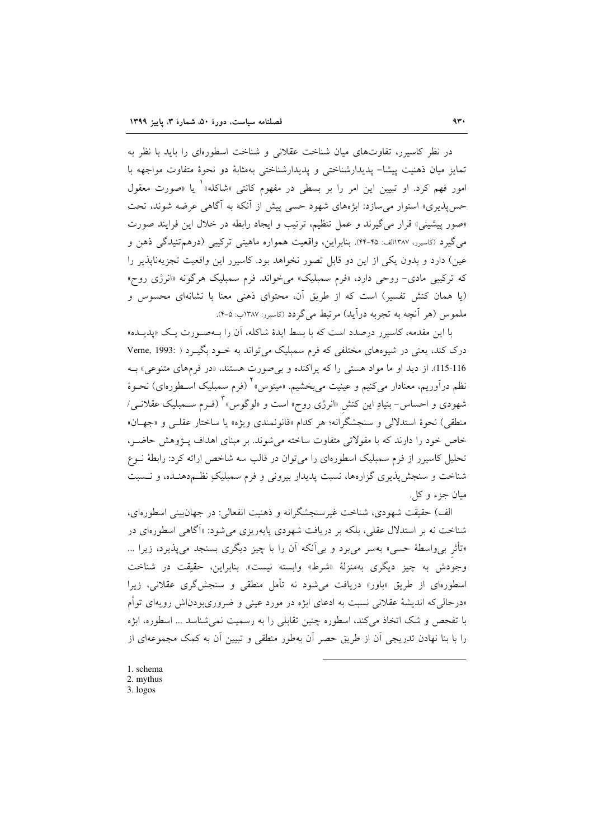در نظر کاسپرر، تفاوتهای میان شناخت عقلانی و شناخت اسطورهای را باید با نظر به تمايز ميان ذهنيت پيشا– يديدارشناختي و يديدارشناختي بهمثابهٔ دو نحوهٔ متفاوت مواجهه با امور فهم کرد. او تبیین این امر را بر بسطی در مفهوم کانتی «شاکله»<sup>۱</sup> یا «صورت معقول حس پذیری» استوار می سازد: ابژههای شهود حسی پیش از آنکه به آگاهی عرضه شوند، تحت «صور پیشینی» قرار می گیرند و عمل تنظیم، ترتیب و ایجاد رابطه در خلال این فرایند صورت می گیرد (کاسیرر، ۱۳۸۷الف: ۴۵-۴۴). بنابراین، واقعیت همواره ماهیتی ترکیبی (درهمتنیدگی ذهن و عین) دارد و بدون یکی از این دو قابل تصور نخواهد بود. کاسیرر این واقعیت تجزیهناپذیر را که ترکیبی مادی- روحی دارد، «فرم سمبلیک» میخواند. فرم سمبلیک هرگونه «انرژی روح» (یا همان کنش تفسیر) است که از طریق آن، محتوای ذهنی معنا با نشانهای محسوس و ملموس (هر آنچه به تجربه درآید) مرتبط می گردد (کاسیرر: ۱۳۸۷ت: ۵-۴).

با این مقدمه، کاسبرر درصدد است که با بسط ایدهٔ شاکله، آن را بـهصـورت یـک «پدیـده» درک کند، یعنی در شیوههای مختلفی که فرم سمبلیک می تواند به خـود بگیـرد ( :Verne, 1993 115-116). از دید او ما مواد هستی را که پراکنده و بیصورت هستند، «در فرمهای متنوعی» بـه نظم درآوریم، معنادار میکنیم و عینیت میبخشیم. «میتوس» (فرم سمبلیک اسـطورهای) نحـوهٔ شهودی و احساس- بنیادِ این کنش «انرژی روح» است و «لوگوس» <sup>۲</sup> (فـرم ســمبلیک عقلانــی/ منطقي) نحوهٔ استدلالي و سنجشگرانه؛ هر كدام «قانونمندي ويژه» يا ساختار عقلـي و «جهـان» خاص خود را دارند که با مقولاتی متفاوت ساخته میشوند. بر مبنای اهداف پـژوهش حاضـر، تحلیل کاسپرر از فرم سمبلیک اسطورهای را می توان در قالب سه شاخص ارائه کرد: رابطهٔ نــوع شناخت و سنجش پذیری گزارهها، نسبت پدیدار بیرونی و فرم سمبلیک نظـم<هنـده، و نـسبت ميان جزء و کل ِ.

الف) حقیقت شهودی، شناخت غیرسنجشگرانه و ذهنیت انفعالی: در جهانبینی اسطورهای، شناخت نه بر استدلال عقلی، بلکه بر دریافت شهودی پایهریزی می شود: «آگاهی اسطورهای در «تأثر بی واسطهٔ حسی» بهسر می برد و بی آنکه آن را با چیز دیگری بسنجد می پذیرد، زیرا … وجودش به چیز دیگری بهمنزلهٔ «شرط» وابسته نیست». بنابراین، حقیقت در شناخت اسطورهای از طریق «باور» دریافت می شود نه تأمل منطقی و سنجش گری عقلانی، زیرا «درحالی که اندیشهٔ عقلانی نسبت به ادعای ابژه در مورد عینی و ضروریبودناش رویهای توأم با تفحص و شک اتخاذ می کند، اسطوره چنین تقابلی را به رسمیت نمی شناسد … اسطوره، ابژه را با بنا نهادن تدریجی آن از طریق حصر آن بهطور منطقی و تبیین آن به کمک مجموعهای از

- 1. schema 2. mythus
- 3. logos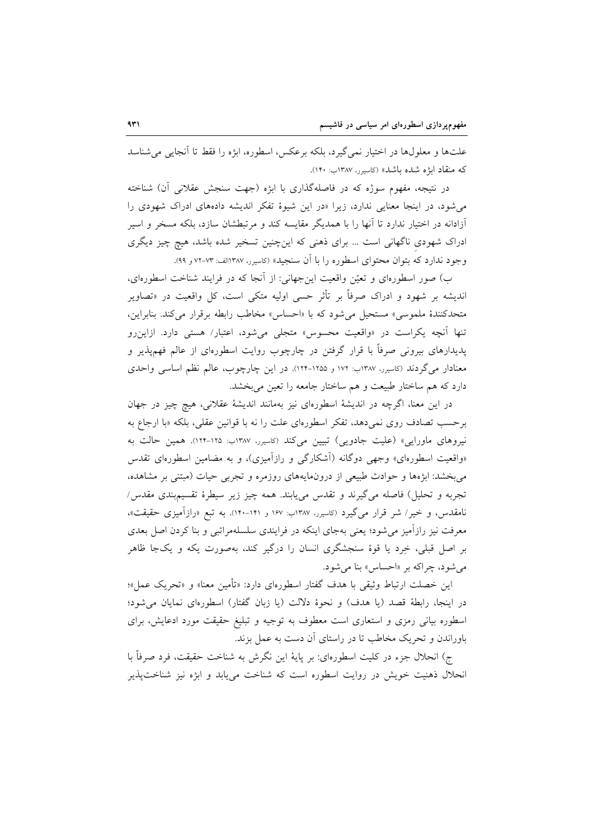علتها و معلولها در اختیار نمیگیرد، بلکه برعکس، اسطوره، ابژه را فقط تا آنجایی می شناسد که منقاد ابژه شده باشد» (کاسیرر، ۱۳۸۷ب: ۱۴۰).

در نتیجه، مفهوم سوژه که در فاصلهگذاری با ابژه (جهت سنجش عقلانی أن) شناخته می شود، در اینجا معنایی ندارد، زیرا «در این شیوهٔ تفکر اندیشه دادههای ادراک شهودی را آزادانه در اختیار ندارد تا آنها را با همدیگر مقایسه کند و مرتبطشان سازد، بلکه مسخر و اسیر ادراک شهودی ناگهانی است … برای ذهنی که اینچنین تسخیر شده باشد، هیچ چیز دیگری وجود ندارد که بتوان محتوای اسطوره را با آن سنجید» (کاسپرر، ۱۳۸۷الف: ۷۳-۷۲ و ۹۹).

ب) صور اسطورهای و تعیّن واقعیت این جهانی: از آنجا که در فرایند شناخت اسطورهای، اندیشه بر شهود و ادراک صرفاً بر تأثر حسی اولیه متکی است، کل واقعیت در «تصاویر متحدکنندهٔ ملموسی» مستحیل می شود که با «احساس» مخاطب رابطه برقرار می کند. بنابراین، تنها آنچه یکراست در «واقعیت محسوس» متجلی میشود، اعتبار/ هستی دارد. ازاین رو پدیدارهای بیرونی صرفاً با قرار گرفتن در چارچوب روایت اسطورهای از عالم فهمپذیر و معنادار میگردند (کاسیرر، ۱۳۸۷ب: ۱۷۲ و ۱۲۵۵-۱۲۴). در این چارچوب، عالم نظم اساسی واحدی دارد که هم ساختار طبیعت و هم ساختار جامعه را تعین میبخشد.

در این معنا، اگرچه در اندیشهٔ اسطورهای نیز بهمانند اندیشهٔ عقلانی، هیچ چیز در جهان برحسب تصادف روى نمى٥هد، تفكر اسطورهاى علت را نه با قوانين عقلي، بلكه «با ارجاع به نیروهای ماورایی» (علیت جادویی) تبیین میکند (کاسیرر، ۱۳۸۷ب: ۱۲۵-۱۲۴). همین حالت به «واقعیت اسطورهای» وجهی دوگانه (آشکارگی و رازآمیزی)، و به مضامین اسطورهای تقدس می بخشد: ابژهها و حوادث طبیعی از درونمایههای روزمره و تجربی حیات (مبتنی بر مشاهده، تجربه و تحلیل) فاصله میگیرند و تقدس مییابند. همه چیز زیر سیطرهٔ تقسیمبندی مقدس/ نامقدس، و خیر/ شر قرار میگیرد (کاسیرر، ۱۳۸۷ب: ۱۶۷ و ۱۴۱–۱۴۰). به تبع «رازآمیزی حقیقت»، معرفت نیز رازآمیز می شود؛ یعنی بهجای اینکه در فرایندی سلسلهمراتبی و بنا کردن اصل بعدی بر اصل قبلی، خِرد یا قوهٔ سنجشگری انسان را درگیر کند، بهصورت یکه و یکجا ظاهر مي شود، چراكه بر «احساس» بنا مي شود.

این خصلت ارتباط وثبقی با هدف گفتار اسطورهای دارد: «تأمین معنا» و «تحریک عمل»؛ در اينجا، رابطهٔ قصد (يا هدف) و نحوهٔ دلالت (يا زبان گفتار) اسطورهاي نمايان مي شود؛ اسطوره بیانی رمزی و استعاری است معطوف به توجیه و تبلیغ حقیقت مورد ادعایش، برای باوراندن و تحریک مخاطب تا در راستای آن دست به عمل بزند.

ج) انحلال جزء در كليت اسطورهاي: بر پايهٔ اين نگرش به شناخت حقيقت، فرد صرفاً با انحلال ذهنیت خویش در روایت اسطوره است که شناخت می یابد و ابژه نیز شناخت پذیر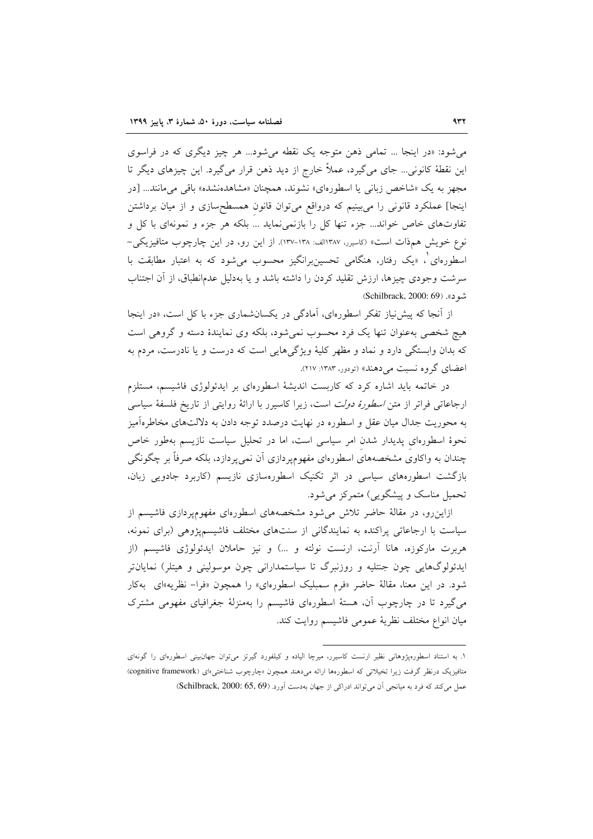می شود: «در اینجا … تمامی ذهن متوجه یک نقطه می شود… هر چیز دیگری که در فراسوی این نقطهٔ کانونی... جای می گیرد، عملاً خارج از دید ذهن قرار می گیرد. این چیزهای دیگر تا مجهز به یک «شاخص زبانی یا اسطورهای» نشوند، همچنان «مشاهدهنشده» باقی میمانند... [در اینجا] عملکرد قانونی را میبینیم که درواقع میتوان قانون همسطحسازی و از میان برداشتن تفاوتهای خاص خواند... جزء تنها کل را بازنمی نماید ... بلکه هر جزء و نمونهای با کل و نوع خویش همذات است» (کاسیرر، ۱۳۸۷الف: ۱۳۸۸-۱۳۷). از این رو، در این چارچوب متافیزیکی-اسطورهای<sup>'</sup>، «یک رفتار، هنگامی تحسین برانگیز محسوب می شود که به اعتبار مطابقت با سرشت وجودی چیزها، ارزش تقلید کردن را داشته باشد و یا بهدلیل عدمانطباق، از آن اجتناب شود». (Schilbrack, 2000: 69)

از آنجا که پیش نیاز تفکر اسطورهای، آمادگی در یکسانشماری جزء با کل است، «در اینجا هیچ شخصی بهعنوان تنها یک فرد محسوب نمی شود، بلکه وی نمایندهٔ دسته و گروهی است که بدان وابستگی دارد و نماد و مظهر کلیهٔ ویژگیهایی است که درست و یا نادرست، مردم به اعضای گروه نسبت می دهند» (تودور، ۱۳۸۳: ۲۱۷).

در خاتمه باید اشاره کرد که کاربست اندیشهٔ اسطورهای بر ایدئولوژی فاشیسم، مستلزم ارجاعاتی فراتر از متن *اسطورهٔ دولت* است، زیرا کاسیرر با ارائهٔ روایتی از تاریخ فلسفهٔ سیاسی به محوریت جدال میان عقل و اسطوره در نهایت درصدد توجه دادن به دلالتهای مخاطرهآمیز نحوهٔ اسطورهای پدیدار شدن امر سیاسی است، اما در تحلیل سیاست نازیسم بهطور خاص چندان به واکاوی مشخصههای اسطورهای مفهومپردازی آن نمیپردازد، بلکه صرفاً بر چگونگی بازگشت اسطورههای سیاسی در اثر تکنیک اسطورهسازی نازیسم (کاربرد جادویی زبان، تحمیل مناسک و پیشگویی) متمرکز می شود.

ازاین رو، در مقالهٔ حاضر تلاش میشود مشخصههای اسطورمای مفهومپردازی فاشیسم از سیاست با ارجاعاتی پراکنده به نمایندگانی از سنتهای مختلف فاشیسمپژوهی (برای نمونه، هربرت مارکوزه، هانا آرنت، ارنست نولته و …) و نیز حاملان ایدئولوژی فاشیسم (از ايدئولوگهايي چون جنتليه و روزنبرگ تا سياستمداراني چون موسوليني و هيتلر) نمايانتر شود. در این معنا، مقالهٔ حاضر «فرم سمبلیک اسطورهای» را همچون «فرا– نظریه»ای بهکار می گیرد تا در چارچوب آن، هستهٔ اسطورهای فاشیسم را بهمنزلهٔ جغرافیای مفهومی مشترک ميان انواع مختلف نظرية عمومي فاشيسم روايت كند.

۱. به استناد اسطورهپژوهانی نظیر ارنست کاسیرر، میرچا الیاده و کیلفورد گیرتز می توان جهانبینی اسطورهای را گونهای متافیزیک درنظر گرفت زیرا تخیلاتی که اسطورهها ارائه میدهند همچون «چارچوب شناختی»ای (cognitive framework) عمل می کند که فرد به میانجی آن می تواند ادراکی از جهان بهدست آورد. (Schilbrack, 2000: 65, 69)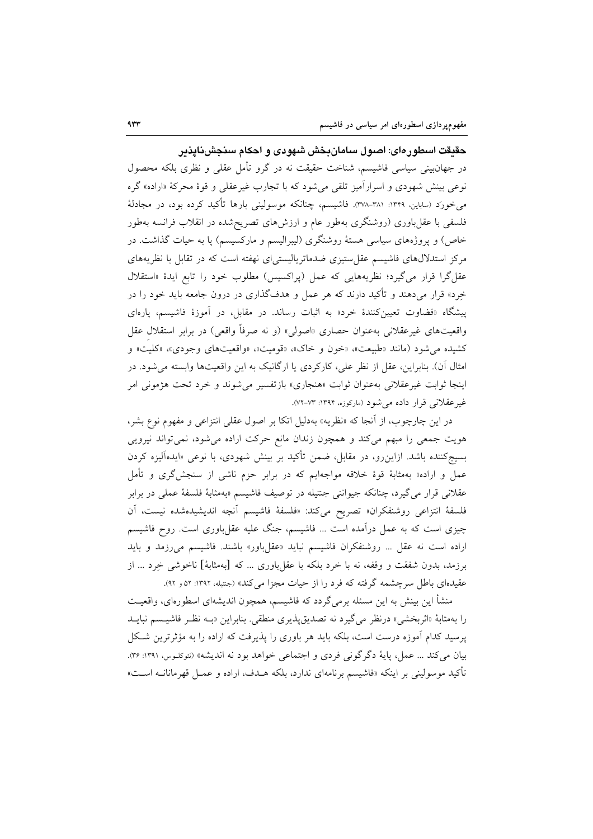حقیقت اسطورهای: اصول سامانِبخش شهودی و احکام سنجشناپذیر

در جهانبینی سیاسی فاشیسم، شناخت حقیقت نه در گرو تأمل عقلی و نظری بلکه محصول نوعي بينش شهودي و اسراراًميز تلقي مي شود كه با تجارب غيرعقلي و قوهٔ محركهٔ «اراده» گره می خورد (ساباین، ۱۳۴۹: ۳۸۱-۳۷۸). فاشیسم، چنانکه موسولینی بارها تأکید کرده بود، در مجادلهٔ فلسفی با عقل باوری (روشنگری بهطور عام و ارزشهای تصریحشده در انقلاب فرانسه بهطور خاص) و پروژههای سیاسی هستهٔ روشنگری (لیبرالیسم و مارکسیسم) پا به حیات گذاشت. در مرکز استدلالهای فاشیسم عقل ستیزی ضدماتریالیستیای نهفته است که در تقابل با نظریههای عقل گرا قرار می گیرد؛ نظریههایی که عمل (پراکسیس) مطلوب خود را تابع ایدهٔ «استقلال خِرِد» قرار میِ(هند و تأکید دارند که هر عمل و هدفگذاری در درون جامعه باید خود را در پیشگاه «قضاوت تعیینکنندهٔ خرد» به اثبات رساند. در مقابل، در آموزهٔ فاشیسم، پارهای واقعیتهای غیرعقلانی بهعنوان حصاری «اصولی» (و نه صرفاً واقعی) در برابر استقلال عقل کشیده می شود (مانند «طبیعت»، «خون و خاک»، «قومیت»، «واقعیتهای وجودی»، «کلیت» و امثال آن). بنابراین، عقل از نظر علی، کارکردی یا ارگانیک به این واقعیتها وابسته میشود. در اينجا ثوابت غيرعقلاني به عنوان ثوابت «هنجاري» بازتفسير مي شوند و خرد تحت هژموني امر غیرعقلانی قرار داده میشود (مارکوزه، ۱۳۹۴: ۷۳-۷۲).

در این چارچوب، از آنجا که «نظریه» بهدلیل اتکا بر اصول عقلی انتزاعی و مفهوم نوع بشر، هویت جمعی را مبهم میکند و همچون زندان مانع حرکت اراده میشود، نمیتواند نیرویی بسیج کننده باشد. ازاین٫و، در مقابل، ضمن تأکید بر بینش شهودی، با نوعی «ایدهآلیزه کردن عمل و اراده» بهمثابهٔ قوهٔ خلاقه مواجهایم که در برابر حزم ناشی از سنجشگری و تأمل عقلانی قرار میگیرد، چنانکه جیواننی جنتیله در توصیف فاشیسم «بهمثابهٔ فلسفهٔ عملی در برابر فلسفة انتزاعى روشنفكران» تصريح مى كند: «فلسفة فاشيسم أنچه انديشيدهشده نيست، أن چیزی است که به عمل درآمده است ... فاشیسم، جنگ علیه عقلباوری است. روح فاشیسم اراده است نه عقل ... روشنفكران فاشيسم نبايد «عقلباور» باشند. فاشيسم مى رزمد و بايد برزمد، بدون شفقت و وقفه، نه با خرد بلکه با عقلِ باوری … که [بهمثابهٔ] ناخوشی خِرد … از عقیدهای باطل سرچشمه گرفته که فرد را از حیات مجزا می کند» (جنتیله، ۱۳۹۲: ۵۲و ۹۲).

منشأ این بینش به این مسئله برمیگردد که فاشیسم، همچون اندیشهای اسطورهای، واقعیــت را بهمثابهٔ «اثربخشی» درنظر می گیرد نه تصدیق پذیری منطقی. بنابراین «بـه نظـر فاشیـسم نبایــد یرسید کدام آموزه درست است، بلکه باید هر باوری را پذیرفت که اراده را به مؤثر ترین شکل بيان مي كند ... عمل، پايهٔ دگرگوني فردي و اجتماعي خواهد بود نه انديشه» (نئوكلـوس، ١٣٩١: ٣۶). تأكيد موسوليني بر اينكه «فاشيسم برنامهاي ندارد، بلكه هــدف، اراده و عمــل قهرمانانــه اســت»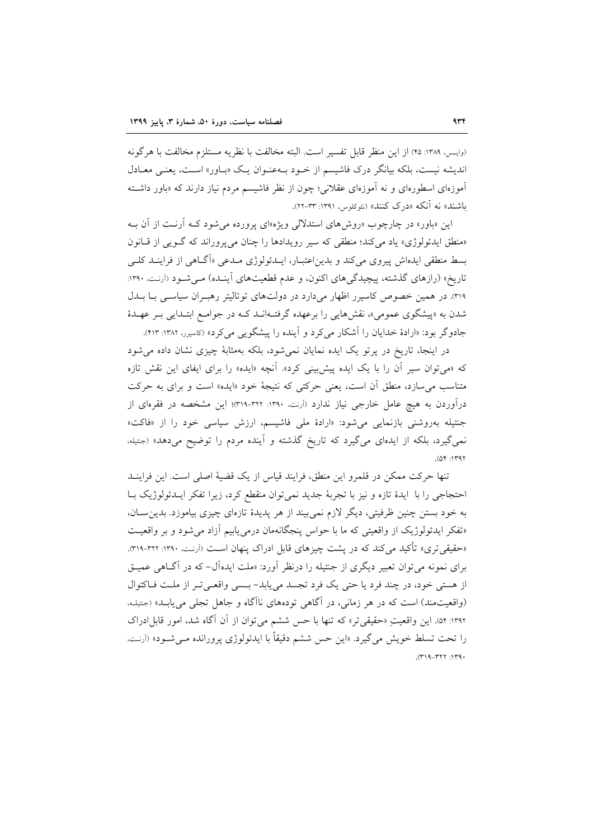(وايس، ١٣٨٩: ٢٥) از اين منظر قابل تفسير است. البته مخالفت با نظريه مستلزم مخالفت با هرگونه اندیشه نیست، بلکه بیانگر درک فاشیسم از خـود بـهعنـوان یـک «بـاور» اسـت، یعنـی معـادل آموزهای اسطورهای و نه آموزهای عقلانی؛ چون از نظر فاشیسم مردم نیاز دارند که «باور داشته باشند» نه آنکه «درک کنند» (نئوکلوس، ۱۳۹۱: ۳۳-۲۲).

این «باور» در چارچوب «روش۵ای استدلالی ویژه»ای پرورده می شود کـه آرنـت از آن بـه «منطق ایدئولوژی» یاد می کند؛ منطقی که سیر رویدادها را چنان می پروراند که گـویی از قـانون بسط منطقی ایدهاش پیروی می کند و بدیناعتبـار، ایــدئولوژی مــدعی «اَگــاهی از فراینــد کلــی تاریخ» (رازهای گذشته، پیچیدگی های اکنون، و عدم قطعیتهای آینـده) مـی شـود (آرنـت. ۱۳۹۰: ۳۱۹. در همین خصوص کاسیرر اظهار میدارد در دولتهای توتالیتر رهبـران سیاسـی بـا بــدل شدن به «پیشگوی عمومی»، نقشهایی را برعهده گرفتـهانــد کــه در جوامــع ابتــدایی بــر عهــدهٔ جادوگر بود: «ارادهٔ خدایان را آشکار می کرد و آینده را پیشگویی می کرد» (کاسیرر، ۱۳۸۲: ۴۱۳).

در اینجا، تاریخ در پرتو یک ایده نمایان نمیشود، بلکه بهمثابهٔ چیزی نشان داده می شود که «می توان سیر آن را با یک ایده پیش بینی کرد». آنچه «ایده» را برای ایفای این نقش تازه متناسب می سازد، منطق آن است، یعنی حرکتی که نتیجهٔ خود «ایده» است و برای به حرکت درآوردن به هیچ عامل خارجی نیاز ندارد (آرنت. ۱۳۹۰: ۳۲۱-۳۱۹)؛ این مشخصه در فقرهای از جنتیله بهروشنی بازنمایی می شود: «ارادهٔ ملی فاشیسم، ارزش سیاسی خود را از «فاکت» نمی گیرد، بلکه از ایدهای می گیرد که تاریخ گذشته و آینده مردم را توضیح میدهد» (جتیله،  $(04:1197)$ 

تنها حركت ممكن در قلمرو اين منطق، فرايند قياس از يك قضية اصلى است. اين فراينــد احتجاجی را با ایدهٔ تازه و نیز با تجربهٔ جدید نمیتوان منقطع کرد، زیرا تفکر ایـدئولوژیک بـا به خود بستن چنین ظرفیتی، دیگر لازم نمی بیند از هر پدیدهٔ تازهای چیزی بیاموزد. بدین سـان، «تفكر ايدئولوژيك از واقعيتي كه ما با حواس پنجگانهمان درمي يابيم آزاد مي شود و بر واقعيت «حقیقیتری» تأکید میکند که در پشت چیزهای قابل ادراک پنهان اسـت (اَرنـت، ۱۳۹۰: ۳۲۱-۳۱۹). برای نمونه می توان تعبیر دیگری از جنتیله را درنظر آورد: «ملت ایدهآل- که در آگـاهی عمیـق از هستی خود، در چند فرد یا حتی یک فرد تجسد می یابد-بسمی واقعیتر از ملت فاکتوال (واقعیتمند) است که در هر زمانی، در آگاهی تودههای ناآگاه و جاهل تجلی می یابـد» (جتیلـه، ١٣٩٢: ٥۴). اين واقعيتِ «حقيقي تر» كه تنها با حس ششم مي توان از آن آگاه شد، امور قابلِادراک را تحت تسلط خويش مي گيرد. «اين حس ششم دقيقاً با ايدئولوژي پرورانده مـي شـود» (أرنـت،  $.$  (۳۱۹-۳۲۲: ۱۳۹۰).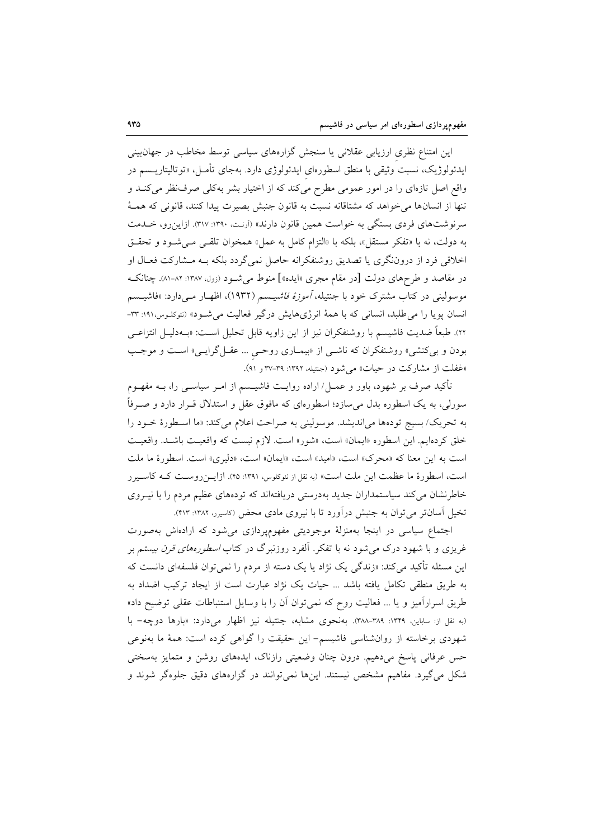این امتناع نظری ارزیابی عقلانی یا سنجش گزارههای سیاسی توسط مخاطب در جهانبینی ايدئولوژيک، نسبت وثيقي با منطق اسطورهاي ايدئولوژي دارد. بهجاي تأمـل، «توتاليتاريــسم در واقع اصل تازهای را در امور عمومی مطرح میکند که از اختیار بشر بهکلی صرف نظر میکنـد و تنها از انسانها می خواهد که مشتاقانه نسبت به قانون جنبش بصیرت پیدا کنند، قانونی که همـهٔ سرنوشتهای فردی بستگی به خواست همین قانون دارند» (آرنت، ۱۳۹۰: ۳۱۷). ازاین رو، خـلـمت به دولت، نه با «تفكر مستقل»، بلكه با «التزام كامل به عمل» همخوان تلقى مى شود و تحقـق اخلاقی فرد از دروننگری یا تصدیق روشنفکرانه حاصل نمیگردد بلکه بـه مـشارکت فعـال او در مقاصد و طرحهای دولت [در مقام مجری «ایده»] منوط می شـود (زول، ۱۳۸۷: ۸۲-۸۱). چنانکـه موسولینی در کتاب مشترک خود با جنتیله، *آموزهٔ فاشیسم (*۱۹۳۲)، اظهـار مـیدارد: «فاشیــسم انسان یوپا را می طلبد، انسانی که با همهٔ انرژیهایش درگیر فعالیت می شـود» (نئوکلـوس،۱۹۱: ۳۳-٢٢). طبعاً ضديت فاشيسم با روشنفكران نيز از اين زاويه قابل تحليل اسـت: «بــهدليـل انتزاعــي بودن و بی کنشی» روشنفکران که ناشـی از «بیمـاری روحـی … عقـلگرایـی» اسـت و موجـب «غفلت از مشاركت در حيات» مي شود (جنتيله، ١٣٩٢: ٣٩-٣٧ و ٩١).

تأکید صرف بر شهود، باور و عمـل/ اراده روایـت فاشیــسم از امــر سیاســی را، بــه مفهــوم سورلی، به یک اسطوره بدل می سازد؛ اسطورهای که مافوق عقل و استدلال قــرار دارد و صــرفاً به تحريك/بسيج تودهها مي انديشد. موسوليني به صراحت اعلام مي كند: «ما اسـطورة خـود را خلق كردهايم. اين اسطوره «ايمان» است، «شور» است. لازم نيست كه واقعيت باشـد. واقعيت است به این معنا که «محرک» است، «امید» است، «ایمان» است، «دلیری» است. اسطورهٔ ما ملت است، اسطورهٔ ما عظمت این ملت است» (به نقل از نئوکلوس، ۱۳۹۱: ۴۵). ازایـنروسـت کـه کاسـیرر خاطرنشان میکند سیاستمداران جدید بهدرستی دریافتهاند که تودههای عظیم مردم را با نیـروی تخیل آسانتر می توان به جنبش درآورد تا با نیروی مادی محض (کاسیرر، ۱۳۸۲: ۴۱۳).

اجتماع سیاسی در اینجا بهمنزلهٔ موجودیتی مفهومپردازی می شود که ارادهاش بهصورت غریزی و با شهود درک می شود نه با تفکر. آلفرد روزنبرگ در کتاب *اسطورههای قرن بیست*م بر این مسئله تأکید میکند: «زندگی یک نژاد یا یک دسته از مردم را نمی توان فلسفهای دانست که به طریق منطقی تکامل یافته باشد … حیات یک نژاد عبارت است از ایجاد ترکیب اضداد به طریق اسرارآمیز و یا … فعالیت روح که نمی توان آن را با وسایل استنباطات عقل<sub>ی</sub> توضیح داد» (به نقل از: ساباین، ١٣٢٩: ٣٨٨-٣٨٨). بهنحوی مشابه، جنتيله نيز اظهار میدارد: «بارها دوچه- با شهودی برخاسته از روانشناسی فاشیسم- این حقیقت را گواهی کرده است: همهٔ ما بهنوعی حس عرفانی پاسخ میدهیم. درون چنان وضعیتی رازناک، ایدههای روشن و متمایز بهسختی شکل می گیرد. مفاهیم مشخص نیستند. اینها نمی توانند در گزارههای دقیق جلوهگر شوند و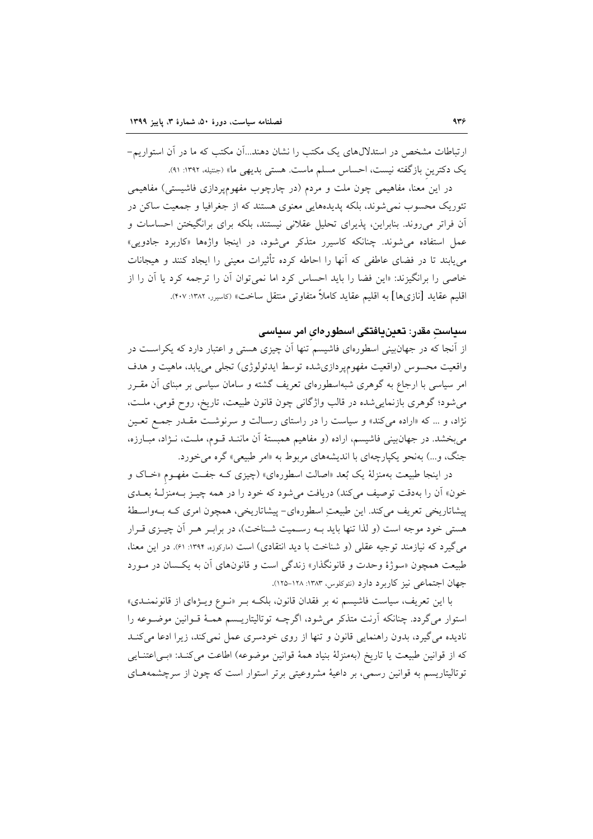ارتباطات مشخص در استدلال های یک مکتب را نشان دهند...اَن مکتب که ما در اَن استواریم-یک دکترین بازگفته نیست، احساس مسلم ماست. هستی بدیهی ما» (جنتیله، ۱۳۹۲: ۹۱).

در این معنا، مفاهیمی چون ملت و مردم (در چارچوب مفهومپردازی فاشیستی) مفاهیمی تئوریک محسوب نمی شوند، بلکه پدیدههایی معنوی هستند که از جغرافیا و جمعیت ساکن در آن فراتر میرووند. بنابراین، پذیرای تحلیل عقلانی نیستند، بلکه برای برانگیختن احساسات و عمل استفاده می شوند. چنانکه کاسیرر متذکر می شود، در اینجا واژهها «کاربرد جادویی» می پابند تا در فضای عاطفی که آنها را احاطه کرده تأثیرات معینی را ایجاد کنند و هیجانات خاصی را برانگیزند: «این فضا را باید احساس کرد اما نمی توان آن را ترجمه کرد یا آن را از اقليم عقايد [نازيها] به اقليم عقايد كاملاً متفاوتي منتقل ساخت» (كاسيرر، ١٣٨٢: ٢٠٧).

## سیاست مقدر: تعینیافتگی اسطورهای امر سیاسی

از اّنجا که در جهانبینی اسطورهای فاشیسم تنها اَن چیزی هستی و اعتبار دارد که یکراسـت در واقعیت محسوس (واقعیت مفهومپردازی شده توسط ایدئولوژی) تجلی می یابد، ماهیت و هدف امر سیاسی با ارجاع به گوهری شبهاسطورهای تعریف گشته و سامان سیاسی بر مبنای آن مقـرر می شود؛ گوهری بازنمایی شده در قالب واژگانی چون قانون طبیعت، تاریخ، روح قومی، ملت، نژاد، و … که «اراده میکند» و سیاست را در راستای رسـالت و سرنوشـت مقـدر جمـع تعـین می بخشد. در جهان بینی فاشیسم، اراده (و مفاهیم همبستهٔ آن ماننـد قـوم، ملـت، نـژاد، مبـارزه، جنگ، و...) بهنحو یکپارچهای با اندیشههای مربوط به «امر طبیعی» گره می خورد.

در اینجا طبیعت بهمنزلهٔ یک بُعد «اصالت اسطورهای» (چیزی کـه جفـت مفهـوم «خـاک و خون» آن را بهدقت توصيف مي كند) دريافت مي شود كه خود را در همه چيـز بــهمنزلــهٔ بعــدي پیشاتاریخی تعریف می کند. این طبیعت اسطورهای- پیشاتاریخی، همچون امری کـه بــهواسـطهٔ هستی خود موجه است (و لذا تنها باید بـه رسـمیت شـناخت)، در برابـر هـر آن چیـزی قـرار می گیرد که نیازمند توجیه عقلی (و شناخت با دید انتقادی) است (مارکوزه، ۱۳۹۴: ۶۱). در این معنا، طبیعت همچون «سوژهٔ وحدت و قانونگذار» زندگی است و قانونهای آن به یکسان در مـورد جهان اجتماعی نیز کاربرد دارد (نئوکلوس، ۱۳۸۳: ۱۲۸-۱۲۵).

با این تعریف، سیاست فاشیسم نه بر فقدان قانون، بلکـه بـر «نـوع ویـژهای از قانونمنـدی» استوار مي گردد. چنانكه آرنت متذكر مي شود، اگرچــه توتاليتاريــسم همــهٔ قــوانين موضــوعه را نادیده می گیرد، بدون راهنمایی قانون و تنها از روی خودسری عمل نمی کند، زیرا ادعا می کنـد كه از قوانين طبيعت يا تاريخ (بهمنزلة بنياد همة قوانين موضوعه) اطاعت مي كنـد: «بـي اعتنـايي توتالیتاریسم به قوانین رسمی، بر داعیهٔ مشروعیتی برتر استوار است که چون از سرچشمههـای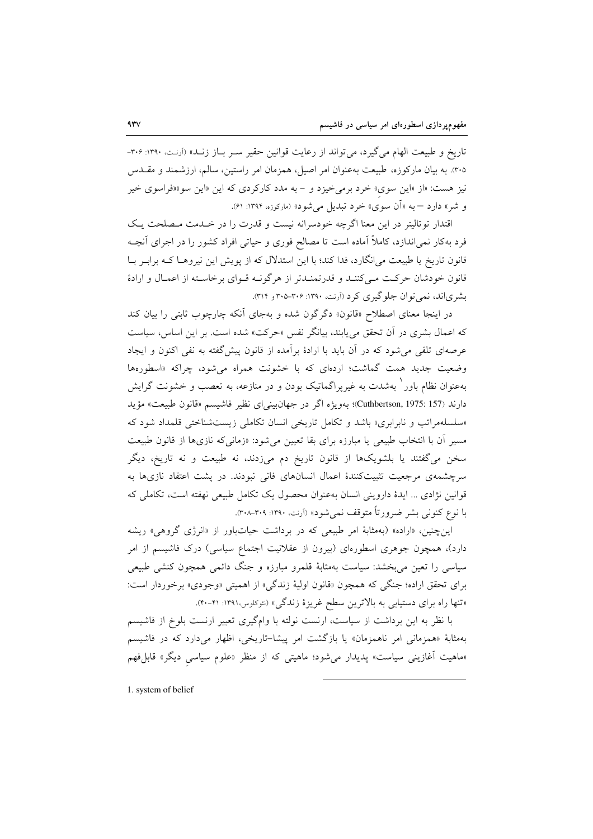تاريخ و طبيعت الهام مي گيرد، مي تواند از رعايت قوانين حقير سـر بـاز زنـد» (آرنـت. ١٣٩٠: ٣٠۶-۳۰۵. به بیان مارکوزه، طبیعت بهعنوان امر اصیل، همزمان امر راستین، سالم، ارزشمند و مقــدس نیز هست: «از «این سوی» خرد برمیخیزد و - به مدد کارکردی که این «این سو»«فراسوی خیر و شر» دارد – به «آن سوی» خرد تبدیل می شود» (مارکوزه، ۱۳۹۴: ۶۱).

اقتدار توتاليتر در اين معنا اگرچه خودسرانه نيست و قدرت را در خـدمت مـصلحت يـک فرد بهکار نمیِاندازد، کاملاً اَماده است تا مصالح فوری و حیاتی افراد کشور را در اجرای اَنچـه قانون تاریخ یا طبیعت می|نگارد، فدا کند؛ با این استدلال که از پویش این نیروهـا کـه برابـر بـا قانون خودشان حرکت مے کننـد و قدرتمنـدتر از هرگونـه قـوای برخاسـته از اعمـال و ارادهٔ بشري اند، نمي توان جلوگيري كرد (آرنت، ۱۳۹۰: ۳۰۶-۳۰۵ و ۳۱۴).

در اینجا معنای اصطلاح «قانون» دگرگون شده و بهجای آنکه چارچوب ثابتی را بیان کند که اعمال بشری در اَن تحقق می یابند، بیانگر نفس «حرکت» شده است. بر این اساس، سیاست عرصهای تلقی میشود که در آن باید با ارادهٔ برآمده از قانون پیش گفته به نفی اکنون و ایجاد وضعیت جدید همت گماشت؛ اردهای که با خشونت همراه می شود، چراکه «اسطورهها بهعنوان نظام باور ٰ بهشدت به غیریراگماتیک بودن و در منازعه، به تعصب و خشونت گرایش دارند (Cuthbertson, 1975: 157)؛ بهويژه اگر در جهانبينياي نظير فاشيسم «قانون طبيعت» مؤيد «سلسلهمراتب و نابرابري» باشد و تكامل تاريخي انسان تكاملي زيست شناختي قلمداد شود كه مسیر أن با انتخاب طبیعی یا مبارزه برای بقا تعیین می شود: «زمانی که نازیها از قانون طبیعت سخن میگفتند یا بلشویکها از قانون تاریخ دم میزدند، نه طبیعت و نه تاریخ، دیگر سرچشمهی مرجعیت تثبیتکنندهٔ اعمال انسانهای فانی نبودند. در پشت اعتقاد نازیها به قوانین نژادی ... ایدهٔ داروینی انسان بهعنوان محصول یک تکامل طبیعی نهفته است، تکاملی که با نوع کنونی بشر ضرورتاً متوقف نمی شود» (اَرنت، ۱۳۹۰: ۳۰۸-۳۰۸).

این چنین، «اراده» (بهمثابهٔ امر طبیعی که در برداشت حیاتباور از «انرژی گروهی» ریشه دارد)، همچون جوهری اسطورهای (بیرون از عقلانیت اجتماع سیاسی) درک فاشیسم از امر سیاسی را تعین می بخشد: سیاست بهمثابهٔ قلمرو مبارزه و جنگ دائمی همچون کنشی طبیعی براي تحقق اراده؛ جنگي كه همچون «قانون اوليهٔ زندگي» از اهميتي «وجودي» برخوردار است: «تنها راه برای دستیابی به بالاترین سطح غریزهٔ زندگی» (نئوکلوس،۱۳۹۱: ۴۱-۴۰).

با نظر به این برداشت از سیاست، ارنست نولته با وامگیری تعبیر ارنست بلوخ از فاشیسم بهمثابهٔ «همزمانی امر ناهمزمان» یا بازگشت امر پیشا-تاریخی، اظهار میدارد که در فاشیسم «ماهیت أغازینی سیاست» پدیدار میشود؛ ماهیتی که از منظر «علوم سیاسی دیگر» قابلِفهم

1. system of belief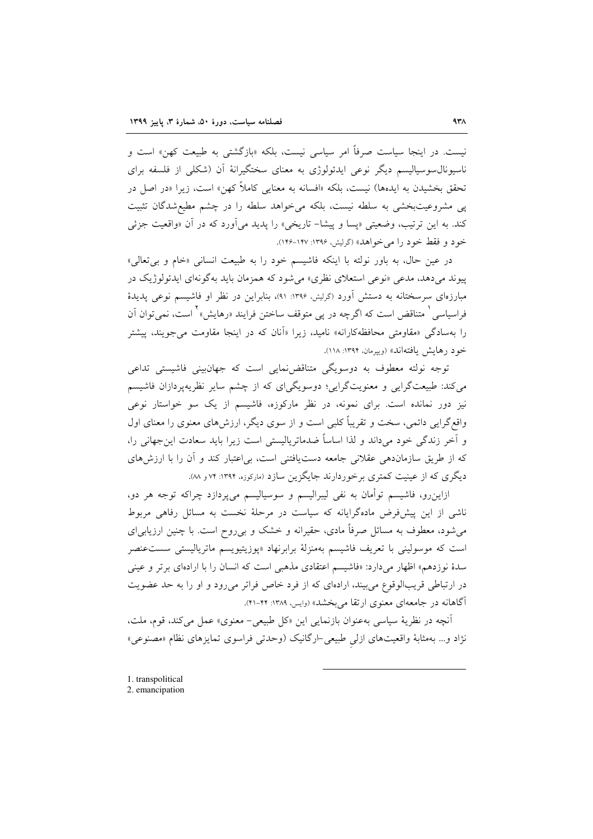نیست. در اینجا سیاست صرفاً امر سیاسی نیست، بلکه «بازگشتی به طبیعت کهن» است و ناسیونال سوسیالیسم دیگر نوعی ایدئولوژی به معنای سختگیرانهٔ آن (شکلی از فلسفه برای تحقق بخشیدن به ایدهها) نیست، بلکه «افسانه به معنایی کاملاً کهن» است، زیرا «در اصل در پی مشروعیتبخشی به سلطه نیست، بلکه میخواهد سلطه را در چشم مطیعشدگان تثبیت کند. به این ترتیب، وضعیتی «پسا و پیشا– تاریخی» را پدید میآورد که در آن «واقعیت جزئی خود و فقط خود را مي خواهد» (گرليش، ۱۳۹۶-۱۴۷).

در عين حال، به باور نولته با اينكه فاشيسم خود را به طبيعت انساني «خام و بي تعالى» پیوند میدهد، مدعی «نوعی استعلای نظری» میشود که همزمان باید بهگونهای ایدئولوژیک در مبارزهای سرسختانه به دستش آورد (گرلیش، ۱۳۹۶: ۹۱)، بنابراین در نظر او فاشیسم نوعی پدیدهٔ فراسیاسی ٰ متناقض است که اگرچه در پی متوقف ساختن فرایند «رهایش» <sup>۲</sup> است، نم<sub>ه ،</sub>توان آن را بهسادگی «مقاومتی محافظهکارانه» نامید، زیرا «اّنان که در اینجا مقاومت می جویند، پیشتر خود رهایش یافتهاند» (ویپرمان، ۱۳۹۴: ۱۱۸).

توجه نولته معطوف به دوسویگی متناقضنمایی است که جهانبینی فاشیستی تداعی می کند: طبیعتگرایی و معنویتگرایی؛ دوسویگیای که از چشم سایر نظریهپردازان فاشیسم نیز دور نمانده است. برای نمونه، در نظر مارکوزه، فاشیسم از یک سو خواستار نوعی واقع گرایی دائمی، سخت و تقریباً کلبی است و از سوی دیگر، ارزشهای معنوی را معنای اول و آخر زندگی خود میداند و لذا اساساً ضدماتریالیستی است زیرا باید سعادت این جهانی را، که از طریق سازماندهی عقلانی جامعه دستیافتنی است، بی|عتبار کند و آن را با ارزش های دیگری که از عینیت کمتری برخوردارند جایگزین سازد (مارکوزه، ۱۳۹۴: ۷۴ و ۸۸).

ازاین٫و، فاشیسم توأمان به نفی لیبرالیسم و سوسیالیسم میپردازد چراکه توجه هر دو، ناشی از این پیشفرض مادهگرایانه که سیاست در مرحلهٔ نخست به مسائل رفاهی مربوط می شود، معطوف به مسائل صرفاً مادی، حقیرانه و خشک و بی روح است. با چنین ارزیابی ای است که موسولینی با تعریف فاشیسم بهمنزلهٔ برابرنهاد «پوزیتیویسم ماتریالیستی سست عنصر سدهٔ نوزدهم» اظهار میدارد: «فاشیسم اعتقادی مذهبی است که انسان را با ارادهای برتر و عینی در ارتباطی قریبالوقوع می بیند، ارادهای که از فرد خاص فراتر می رود و او را به حد عضویت آگاهانه در جامعهای معنوی ارتقا می بخشد» (وایس، ۱۳۸۹: ۴۴–۴۱).

آنچه در نظریهٔ سیاسی به عنوان بازنمایی این «کل طبیعی- معنوی» عمل می کند، قوم، ملت، نژاد و... بهمثابهٔ واقعیتهای ازلی طبیعی-ارگانیک (وحدتی فراسوی تمایزهای نظام «مصنوعی»

<sup>1.</sup> transpolitical

<sup>2.</sup> emancipation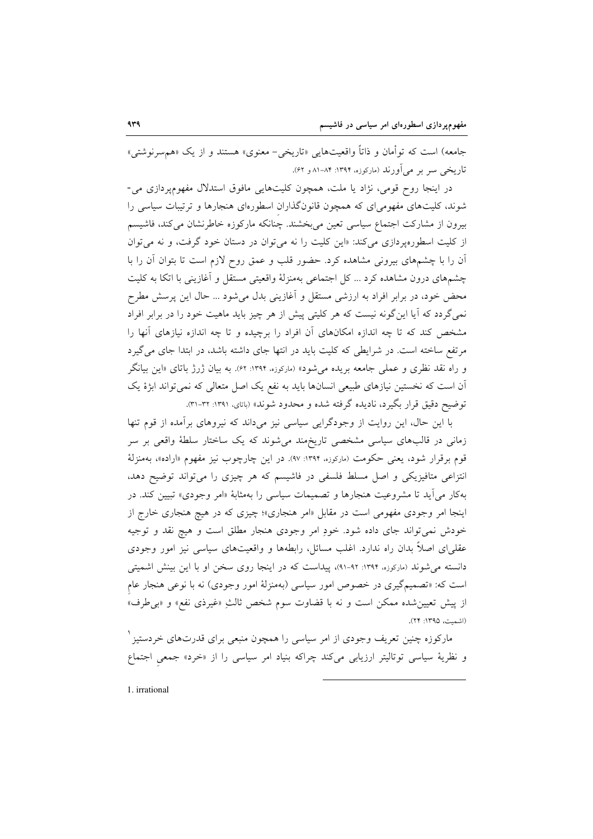جامعه) است که توأمان و ذاتاً واقعیتهایی «تاریخی- معنوی» هستند و از یک «هم سرنوشتی» تاریخی سو بو می آورند (مارکوزه، ۱۳۹۴: ۸۴–۸۱ و ۶۲).

در اینجا روح قومی، نژاد یا ملت، همچون کلیتهایی مافوق استدلال مفهومپردازی می-شوند، کلیتهای مفهومیای که همچون قانونگذاران اسطورهای هنجارها و ترتیبات سیاسی را بیرون از مشارکت اجتماع سیاسی تعین میبخشند. چنانکه مارکوزه خاطرنشان میکند، فاشیسم از کلیت اسطورهپردازی میکند: «این کلیت را نه می توان در دستان خود گرفت، و نه می توان آن را با چشمهای بیرونی مشاهده کرد. حضور قلب و عمق روح لازم است تا بتوان آن را با چشمهای درون مشاهده کرد ... کل اجتماعی بهمنزلهٔ واقعیتی مستقل و آغازینی با اتکا به کلیت محض خود، در برابر افراد به ارزشی مستقل و أغازینی بدل میشود … حال این پرسش مطرح نمی گردد که آیا این گونه نیست که هر کلیتی پیش از هر چیز باید ماهیت خود را در برابر افراد مشخص کند که تا چه اندازه امکانهای آن افراد را برچیده و تا چه اندازه نیازهای آنها را مرتفع ساخته است. در شرایطی که کلیت باید در انتها جای داشته باشد، در ابتدا جای می گیرد و راه نقد نظری و عملی جامعه بریده می شود» (مارکوزه، ۱۳۹۴: ۶۲). به بیان ژرژ باتای «این بیانگر آن است که نخستین نیازهای طبیعی انسانها باید به نفع یک اصل متعالی که نمی تواند ابژهٔ یک توضيح دقيق قرار بگيرد، ناديده گرفته شده و محدود شوند» (باتاي، ١٣٩١: ٣٢-٣١).

با این حال، این روایت از وجودگرایی سیاسی نیز میداند که نیروهای برآمده از قوم تنها زمانی در قالبهای سیاسی مشخصی تاریخمند می شوند که یک ساختار سلطهٔ واقعی بر سر قوم برقرار شود، یعنی حکومت (مار<sub>کوزه، ۱</sub>۳۹۴: ۹۷). در این چارچوب نیز مفهوم «اراده»، بهمنزلهٔ انتزاعی متافیزیکی و اصل مسلط فلسفی در فاشیسم که هر چیزی را میتواند توضیح دهد، بهکار میآید تا مشروعیت هنجارها و تصمیمات سیاسی را بهمثابهٔ «امر وجودی» تبیین کند. در اینجا امر وجودی مفهومی است در مقابل «امر هنجاری»؛ چیزی که در هیچ هنجاری خارج از خودش نمی تواند جای داده شود. خودِ امر وجودی هنجار مطلق است و هیچ نقد و توجیه عقلبیای اصلاً بدان راه ندارد. اغلب مسائل، رابطهها و واقعیتهای سیاسی نیز امور وجودی دانسته می شوند (مارکوزه، ۱۳۹۴: ۹۲-۹۱)، پیداست که در اینجا روی سخن او با این بینش اشمیتی است که: «تصمیمگیری در خصوص امور سیاسی (بهمنزلهٔ امور وجودی) نه با نوعی هنجار عام از پیش تعیین شده ممکن است و نه با قضاوت سوم شخص ثالثِ «غیرذی نفع» و «بی طرف» (اشمت، ۱۳۹۵: ۲۴).

مارکوزه چنین تعریف وجودی از امر سیاسی را همچون منبعی برای قدرتهای خردستیز ٰ و نظریهٔ سیاسی توتالیتر ارزیابی میکند چراکه بنیاد امر سیاسی را از «خرد» جمعی اجتماع

1. irrational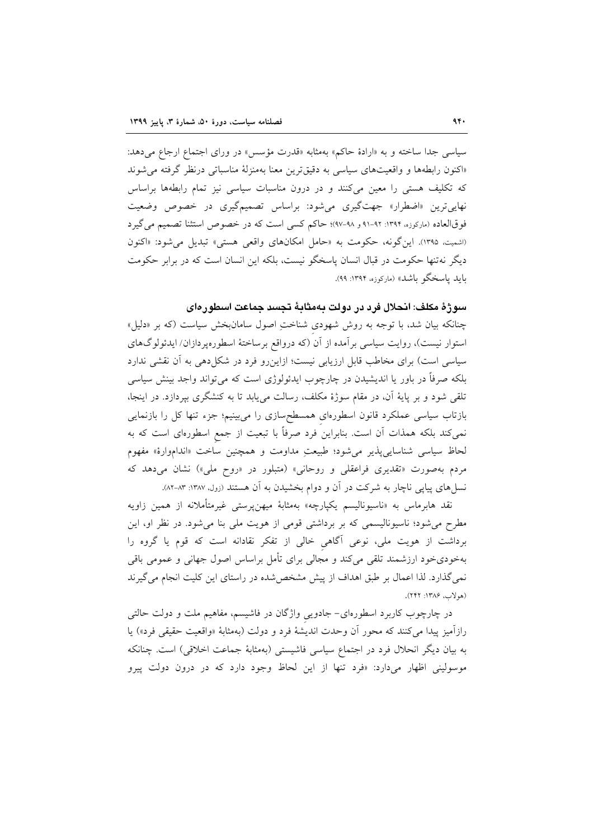سیاسی جدا ساخته و به «ارادهٔ حاکم» بهمثابه «قدرت مؤسس» در ورای اجتماع ارجاع میدهد: «اكنون رابطهها و واقعيتهاى سياسي به دقيق ترين معنا بهمنزلة مناسباتي درنظر گرفته مي شوند که تکلیف هستی را معین میکنند و در درون مناسبات سیاسی نیز تمام رابطهها براساس نهایی ترین «اضطرار» جهتگیری میشود: براساس تصمیمگیری در خصوص وضعیت فوقالعاده (ماركوزه، ۱۳۹۴: ۹۲-۹۱ و ۹۸-۹۷)؛ حاكم كسى است كه در خصوص استثنا تصميم مى گيرد (اشميت، ١٣٩٥). اين گونه، حكومت به «حامل امكانهاى واقعى هستى» تبديل مى شود: «اكنون دیگر نهتنها حکومت در قبال انسان پاسخگو نیست، بلکه این انسان است که در برابر حکومت بايد ياسخگو باشد» (ماركوزه. ۱۳۹۴: ۹۹).

### سوژهٔ مکلف: انحلال فرد در دولت بهمثابهٔ تجسد جماعت اسطورهای

چنانکه بیان شد، با توجه به روش شهودی شناختِ اصول سامانبخش سیاست (که بر «دلیل» استوار نیست)، روایت سیاسی بر آمده از آن (که درواقع برساختهٔ اسطورهپردازان/ ایدئولوگهای سیاسی است) برای مخاطب قابل ارزیابی نیست؛ ازاین رو فرد در شکل دهی به آن نقشی ندارد بلکه صرفاً در باور یا اندیشیدن در چارچوب ایدئولوژی است که میتواند واجد بینش سیاسی تلقی شود و بر پایهٔ آن، در مقام سوژهٔ مکلف، رسالت می یابد تا به کنشگری بیردازد. در اینجا، بازتاب سیاسی عملکرد قانون اسطورهای همسطحسازی را میبینیم؛ جزء تنها کل را بازنمایی نمی کند بلکه همذات آن است. بنابراین فرد صرفاً با تبعیت از جمع اسطورهای است که به لحاظ سیاسی شناسایی پذیر می شود؛ طبیعتِ مداومت و همچنین ساخت «انداموارهٔ» مفهوم مردم بهصورت «تقدیری فراعقلی و روحانی» (متبلور در «روح ملی») نشان میدهد که نسل های پیاپی ناچار به شرکت در آن و دوام بخشیدن به آن هستند (زول، ۱۳۸۷: ۸۳-۸۲).

نقد هابرماس به «ناسیونالیسم یکپارچه» بهمثابهٔ میهنپرستی غیرمتأملانه از همین زاویه مطرح می شود؛ ناسیونالیسمی که بر برداشتی قومی از هویت ملی بنا می شود. در نظر او، این برداشت از هویت ملی، نوعی آگاهی خالی از تفکر نقادانه است که قوم یا گروه را بهخودیخود ارزشمند تلقی میکند و مجالی برای تأمل براساس اصول جهانی و عمومی باقی نمی گذارد. لذا اعمال بر طبق اهداف از پیش مشخص شده در راستای این کلیت انجام می گیرند (هولاب، ۱۳۸۶: ۲۴۲).

در چارچوب کاربرد اسطورهای– جادویی واژگان در فاشیسم، مفاهیم ملت و دولت حالتی رازآمیز پیدا میکنند که محور آن وحدت اندیشهٔ فرد و دولت (بهمثابهٔ «واقعیت حقیقی فرد») یا به بیان دیگر انحلال فرد در اجتماع سیاسی فاشیستی (بهمثابهٔ جماعت اخلاقی) است. چنانکه موسولینی اظهار میدارد: «فرد تنها از این لحاظ وجود دارد که در درون دولت پیرو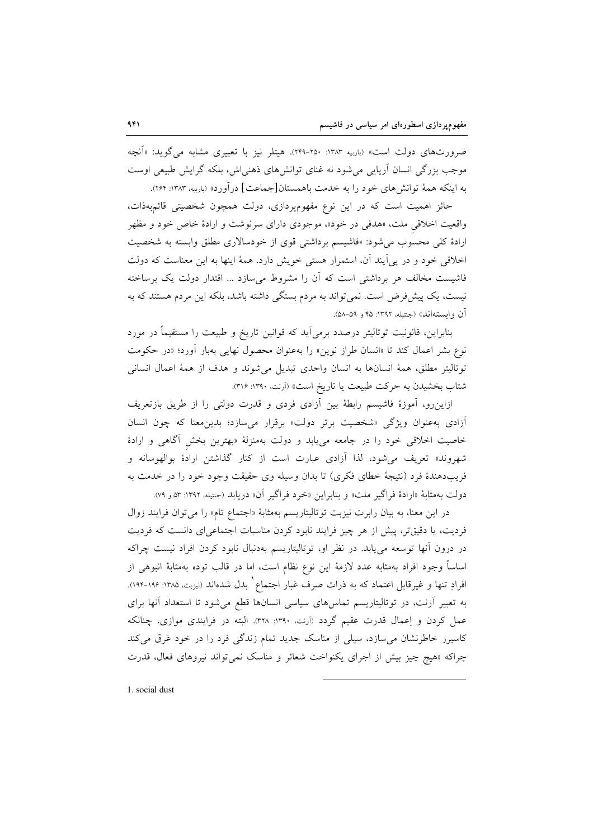ضرورتهای دولت است» (باربیه ۱۳۸۳: ۲۵۰-۲۴۹). هیتلر نیز با تعبیری مشابه میگوید: «آنچه موجب بزرگی انسان آریایی می شود نه غنای توانش های ذهنی اش، بلکه گرایش طبیعی اوست به اینکه همهٔ توانشهای خود را به خدمت باهمستان[جماعت] درآورد» (باربیه ۱۳۸۳: ۲۶۴).

حائز اهمیت است که در این نوع مفهومپردازی، دولت همچون شخصیتی قائمبهذات، واقعیت اخلاقی ملت، «هدفی در خود»، موجودی دارای سرنوشت و ارادهٔ خاص خود و مظهر ارادهٔ کلی محسوب می شود: «فاشیسم برداشتی قوی از خودسالاری مطلق وابسته به شخصیت اخلاقی خود و در پی آیند آن، استمرار هستی خویش دارد. همهٔ اینها به این معناست که دولت فاشیست مخالف هر برداشتی است که آن را مشروط می سازد ... اقتدار دولت یک برساخته نیست، یک پیش فرض است. نمی تواند به مردم بستگی داشته باشد، بلکه این مردم هستند که به آن وابستهاند» (جنتيله، ١٣٩٢: ۴۵ و ۵۹-۵۸).

بنابراین، قانونیت توتالیتر درصدد برمی]ید که قوانین تاریخ و طبیعت را مستقیماً در مورد نوع بشر اعمال کند تا «انسان طراز نوین» را بهعنوان محصول نهایی بهبار آورد؛ «در حکومت توتاليتر مطلق، همهٔ انسانها به انسان واحدى تبديل مى شوند و هدف از همهٔ اعمال انسانى شتاب بخشيدن به حركت طبيعت يا تاريخ است» (آرنت، ١٣٩٠: ٣١۶).

ازاینرو، آموزهٔ فاشیسم رابطهٔ بین آزادی فردی و قدرت دولتی را از طریق بازتعریف آزادی به عنوان ویژگی «شخصیت برتر دولت» برقرار می سازد؛ بدین معنا که چون انسان خاصیت اخلاقی خود را در جامعه میbبابد و دولت بهمنزلهٔ «بهترین بخش آگاهی و ارادهٔ شهروند» تعریف میشود، لذا آزادی عبارت است از کنار گذاشتن ارادهٔ بوالهوسانه و فريبدهندهٔ فرد (نتيجهٔ خطاي فكري) تا بدان وسيله وي حقيقت وجود خود را در خدمت به دولت بهمثابهٔ «ارادهٔ فراگیر ملت» و بنابراین «خرد فراگیر آن» دریابد (جنتیله، ۱۳۹۲: ۵۳و ۷۹).

در این معنا، به بیان رابرت نیزبت توتالیتاریسم بهمثابهٔ «اجتماع تام» را می توان فرایند زوال فردیت، یا دقیقتر، پیش از هر چیز فرایند نابود کردن مناسبات اجتماعی ای دانست که فردیت در درون آنها توسعه میbیابد. در نظر او، توتالیتاریسم بهدنبال نابود کردن افراد نیست چراکه اساساً وجود افراد بهمثابه عدد لازمهٔ این نوع نظام است، اما در قالب توده بهمثابهٔ انبوهی از افرادِ تنها و غیرقابل اعتماد که به ذرات صرف غبار اجتماع ٍ بدل شدهاند (نیزبت، ۱۳۸۵: ۱۹۶-۱۹۴). به تعبیر آرنت، در توتالیتاریسم تماسهای سیاسی انسانها قطع میشود تا استعداد آنها برای عمل کردن و اِعمال قدرت عقیم گردد (اَرنت، ١٣٩٠: ٣٢٨). البته در فرایندی موازی، چنانکه کاسیرر خاطرنشان می سازد، سیلی از مناسک جدید تمام زندگی فرد را در خود غرق میکند چراکه «هیچ چیز بیش از اجرای یکنواخت شعائر و مناسک نمی تواند نیروهای فعال، قدرت

1. social dust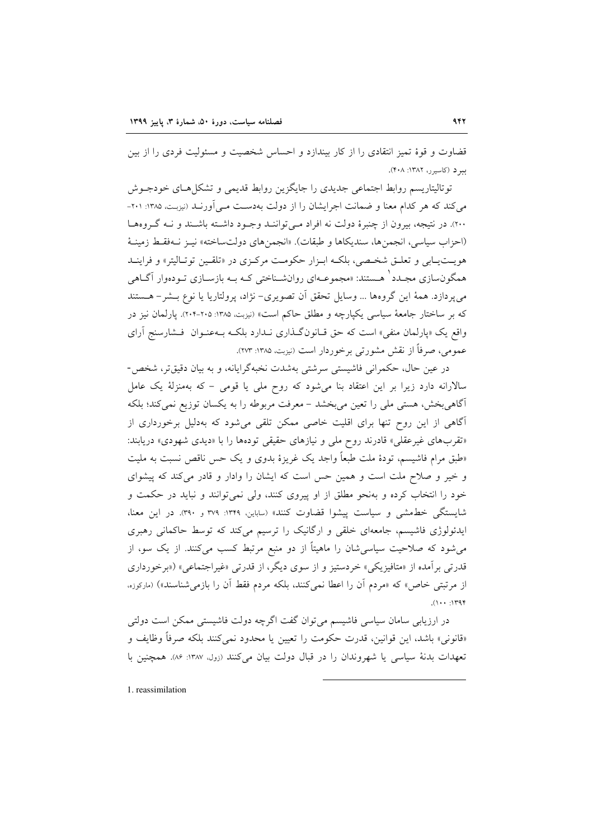قضاوت و قوهٔ تمیز انتقادی را از کار بیندازد و احساس شخصیت و مسئولیت فردی را از بین سود (کاسور، ۱۳۸۲: ۴۰۸).

توتالیتاریسم روابط اجتماعی جدیدی را جایگزین روابط قدیمی و تشکل هـای خودجـوش میکند که هر کدام معنا و ضمانت اجرایشان را از دولت بهدست مـی آورنـد (نیزبـت ۱۳۸۵: ۲۰۱-٢٠٠). در نتيجه، بيرون از چنبرهٔ دولت نه افراد مـي تواننـد وجـود داشـته باشـند و نــه گــروهـا (احزاب سياسي، انجمنها، سنديكاها و طبقات). «انجمن هاي دولتساخته» نيـز نــهفقـط زمينـهٔ هويـتيـابي و تعلـق شخـصي، بلكـه ابـزار حكومـت مركـزي در «تلقـين توتـاليتر» و فراينــد همگون سازی مجـدد ٔ هـستند: «مجموعـهای روانشـناختی کـه بـه بازسـازی تـودهوار آگـاهی مى پردازد. همهٔ اين گروهها ... وسايل تحقق آن تصويرى– نژاد، پرولتاريا يا نوع بـشر– هـستند که بر ساختار جامعهٔ سیاسی یکپارچه و مطلق حاکم است» (نیزبت، ۱۳۸۵: ۲۰۵-۲۰۴). یارلمان نیز در واقع یک «یارلمان منفی» است که حق قـانونگـذاری نـدارد بلکـه بـهعنـوان فـشارسنج آرای عمومي، صرفاً از نقش مشورتي برخوردار است (نيزبت، ١٣٨٥: ٢٧٣).

در عین حال، حکمرانی فاشیستی سرشتی بهشدت نخبهگرایانه، و به بیان دقیقتر، شخص-سالارانه دارد زیرا بر این اعتقاد بنا می شود که روح ملی یا قومی - که بهمنزلهٔ یک عامل آگاهی بخش، هستی ملی را تعین می بخشد – معرفت مربوطه را به یکسان توزیع نمی کند؛ بلکه آگاهی از این روح تنها برای اقلیت خاصی ممکن تلقی می شود که بهدلیل برخورداری از «تقربهای غیرعقلی» قادرند روح ملی و نیازهای حقیقی تودهها را با «دیدی شهودی» دریابند: «طبق مرام فاشیسم، تودهٔ ملت طبعاً واجد یک غریزهٔ بدوی و یک حس ناقص نسبت به ملیت و خیر و صلاح ملت است و همین حس است که ایشان را وادار و قادر می کند که پیشوای خود را انتخاب کرده و بهنحو مطلق از او پیروی کنند، ولی نمیتوانند و نباید در حکمت و شایستگی خطمشی و سیاست پیشوا قضاوت کنند» (ساباین، ۱۳۴۹: ۳۷۹ و ۳۹۰). در این معنا، ایدئولوژی فاشیسم، جامعهای خلقی و ارگانیک را ترسیم میکند که توسط حاکمانی رهبری میشود که صلاحیت سیاسی شان را ماهیتاً از دو منبع مرتبط کسب میکنند. از یک سو، از قدرتی بر آمده از «متافیزیکی» خردستیز و از سوی دیگر، از قدرتی «غیراجتماعی» («برخورداری از مرتبتی خاص» که «مردم آن را اعطا نمی کنند، بلکه مردم فقط آن را بازمی شناسند») (مارکوزه،  $(1 - 1)$ 

در ارزیابی سامان سیاسی فاشیسم میتوان گفت اگرچه دولت فاشیستی ممکن است دولتی «قانوني» باشد، اين قوانين، قدرت حكومت را تعيين يا محدود نمي كنند بلكه صرفاً وظايف و تعهدات بدنهٔ سیاسی یا شهروندان را در قبال دولت بیان میکنند (زول ۱۳۸۷: ۸۶). همچنین با

1. reassimilation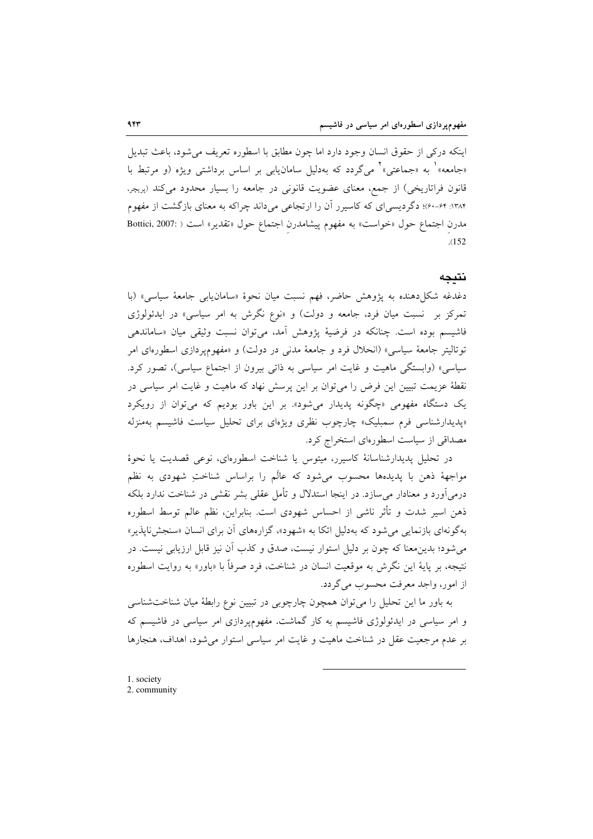اینکه درکی از حقوق انسان وجود دارد اما چون مطابق با اسطوره تعریف می شود، باعث تبدیل «جامعه» په «جماعتي» مي گردد که بهدليل سامان بابي بر اساس برداشتي ويژه (و مرتبط با قانون فراتاریخی) از جمع، معنای عضویت قانونی در جامعه را بسیار محدود می کند (بریچر، ۱۳۸۴: ۶۴-۶۰)؛ دگر دیسی ای که کاسیر ر آن را ارتجاعی می داند چراکه به معنای بازگشت از مفهوم مدرن اجتماع حول «خواست» به مفهوم پیشامدرن اجتماع حول «تقدیر» است ( :Bottici, 2007  $.152$ 

## نتيجه

دغدغه شكل(دهنده به پژوهش حاضر، فهم نسبت ميان نحوهٔ «سامان يابي جامعهٔ سياسي» (با تمرکز بر نسبت میان فرد، جامعه و دولت) و «نوع نگرش به امر سیاسی» در ایدئولوژی فاشیسم بوده است. چنانکه در فرضیهٔ پژوهش آمد، می توان نسبت وثیقی میان «ساماندهی توتاليتر جامعهٔ سياسي» (انحلال فرد و جامعهٔ مدنی در دولت) و «مفهومپردازی اسطورهای امر سیاسی» (وابستگی ماهیت و غایت امر سیاسی به ذاتی بیرون از اجتماع سیاسی)، تصور کرد. نقطهٔ عزیمت تبیین این فرض را می توان بر این پرسش نهاد که ماهیت و غایت امر سیاسی در یک دستگاه مفهومی «چگونه پدیدار میشود». بر این باور بودیم که میتوان از رویکرد «پدیدارشناسی فرم سمبلیک» چارچوب نظری ویژهای برای تحلیل سیاست فاشیسم بهمنزله مصداقی از سیاست اسطورهای استخراج کرد.

در تحلیل پدیدارشناسانهٔ کاسیرر، میتوس یا شناخت اسطورهای، نوعی قصدیت یا نحوهٔ مواجههٔ ذهن با پدیدهها محسوب میشود که عالَم را براساس شناختِ شهودی به نظم درمی اَورد و معنادار می سازد. در اینجا استدلال و تأمل عقلی بشر نقشی در شناخت ندارد بلکه ذهن اسير شدت و تأثر ناشي از احساس شهودي است. بنابراين، نظم عالم توسط اسطوره بهگونهای بازنمایی می شود که بهدلیل اتکا به «شهود»، گزارههای آن برای انسان «سنجشناپذیر» میشود؛ بدینِ معنا که چون بر دلیل استوار نیست، صدق و کذب اَن نیز قابل ارزیابی نیست. در نتيجه، بر پايهٔ اين نگرش به موقعيت انسان در شناخت، فرد صرفاً با «باور» به روايت اسطوره از امور، واجد معرفت محسوب مي گردد.

به باور ما این تحلیل را میتوان همچون چارچوبی در تبیین نوع رابطهٔ میان شناختشناسی و امر سیاسی در ایدئولوژی فاشیسم به کار گماشت. مفهومپردازی امر سیاسی در فاشیسم که بر عدم مرجعیت عقل در شناخت ماهیت و غایت امر سیاسی استوار می شود، اهداف، هنجارها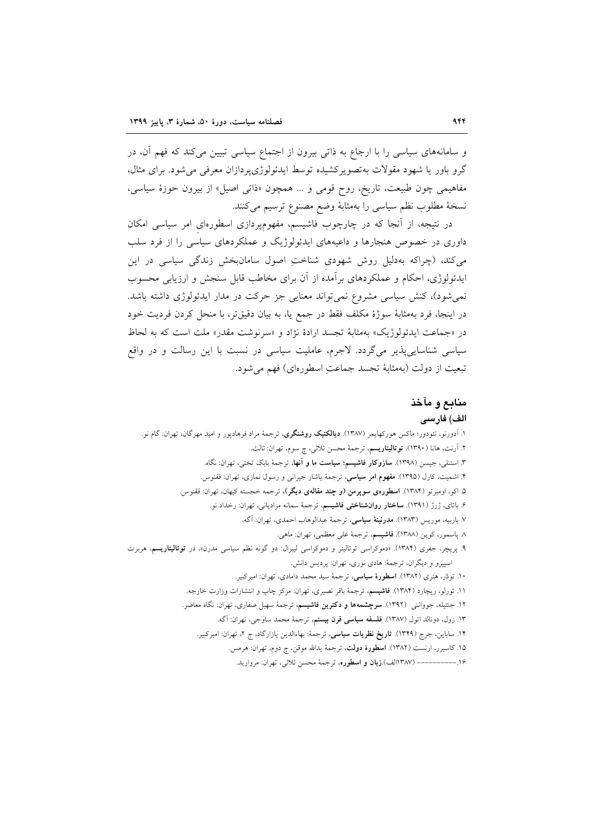و سامانههای سیاسی را با ارجاع به ذاتی بیرون از اجتماع سیاسی تبیین می کند که فهم آن، در گرو باور یا شهود مقولات بهتصویرکشیده توسط ایدئولوژیپردازان معرفی می شود. برای مثال، مفاهیمی چون طبیعت، تاریخ، روح قومی و ... همچون «ذاتی اصیل» از بیرون حوزهٔ سیاسی، نسخة مطلوب نظم سياسي را بهمثابة وضع مصنوع ترسيم مي كنند.

در نتیجه، از آنجا که در چارچوب فاشیسم، مفهومپردازی اسطورهای امر سیاسی امکان داوری در خصوص هنجارها و داعیههای ایدئولوژیک و عملکردهای سیاسی را از فرد سلب می کند، (چراکه بهدلیل روش شهودی شناختِ اصول سامان بخش زندگی سیاسی در این ایدئولوژی، احکام و عملکردهای برآمده از آن برای مخاطب قابل سنجش و ارزیابی محسوب نمی شود)، کنش سیاسی مشروع نمی تواند معنایی جز حرکت در مدار ایدئولوژی داشته باشد. در اينجا، فرد بهمثابهٔ سوژهٔ مکلف فقط در جمع يا، به بيان دقيقتر، با منحل کردن فرديت خود در «جماعت ايدئولوژيک» بهمثابهٔ تجسد ارادهٔ نژاد و «سرنوشت مقدر» ملت است که به لحاظ سیاسی شناساییپذیر میگردد. لاجرم، عاملیت سیاسی در نسبت با این رسالت و در واقع تبعيت از دولت (بهمثابة تجسد جماعتِ اسطورهاي) فهم مي شود.

# منابع و مآخذ

#### الف) فارسى

۱. آدورنو، تئودور؛ ماکس هورکهایمر (۱۳۸۷). **دیالکتیک روشنگری**، ترجمهٔ مراد فرهادپور و امید مهرگان، تهران: گام نو. ۲. آرنت، هانا (۱۳۹۰). **توتالیتاریسم**، ترجمهٔ محسن ثلاثی، چ سوم، تهران: ثالث. ۳. استنلی، جیسن (۱۳۹۸). **سازوکار فاشیسم؛ سیاست ما و آنها**، ترجمهٔ بابک تختی، تهران: نگاه. ۴. اشمیت، کارل (۱۳۹۵). مفهوم امر سیاسی، ترجمهٔ یاشار جیرانی و رسول نمازی، تهران: ققنوس. ۵. اکو، اومبرتو (۱۳۸۴). ا**سطورهی سوپرمن (و چند مقالهی دیگر)**، ترجمه خجسته کیهان، تهران: ققنوس. ۶. باتای، ژرژ (۱۳۹۱). **ساختار روانشناختی فاشیسم**، ترجمهٔ سمانه مرادیانی، تهران: رخداد نو. ٧. باربيه، موريس (١٣٨٣). مدرنيتة سياسي، ترجمة عبدالوهاب احمدي، تهران: آگه. ٨ پاسمور، كوين (١٣٨٨). فاشيسم، ترجمهٔ على معظمى، تهران: ماهي. ۹. پریچر، جفری (۱۳۸۴). «دموکراسی توتالیتر و دموکراسی لیبرال: دو گونه نظم سیاسی مدرن»، در **توتالیتاریسم**، هربرت اسپیرو و دیگران، ترجمهٔ: هادی نوری، تهران: پردیس دانش. ۱۰. تودُر، هنري (۱۳۸۲). ا**سطورهٔ سیاسی**، ترجمهٔ سید محمد دامادی، تهران: امیرکبیر. ۱۱. تورلو، ریچارد (۱۳۸۴). فاشیسم، ترجمهٔ باقر نصیری، تهران: مرکز چاپ و انتشارات وزارت خارجه. ۱۲. جنتیله، جوواننی (۱۳۹۲). **سرچشمهها و دکترین فاشیسم**، ترجمهٔ سهیل صفاری، تهران: نگاه معاصر. ۱۳. زول، دونالد اتول (۱۳۸۷). **فلسفه سیاسی قرن بیستم**، ترجمهٔ محمد ساوجی، تهران: آگه. ۱۴. ساباین، جرج (۱۳۴۹). **تاریخ نظریات سیاسی**، ترجمهٔ: بهاءالدین پازارگاد، ج ۲، تهران: امیرکبیر. ۱۵. کاسیرر، ارنست (۱۳۸۲). **اسطورهٔ دولت**، ترجمهٔ یدالله موقن، چ دوم، تهران: هرمس. ۱۶.ـــــــــــــــ (۱۳۸۷الف).**زبان و اسطوره**، ترجمهٔ محسن ثلاثی، تهران: مروارید.